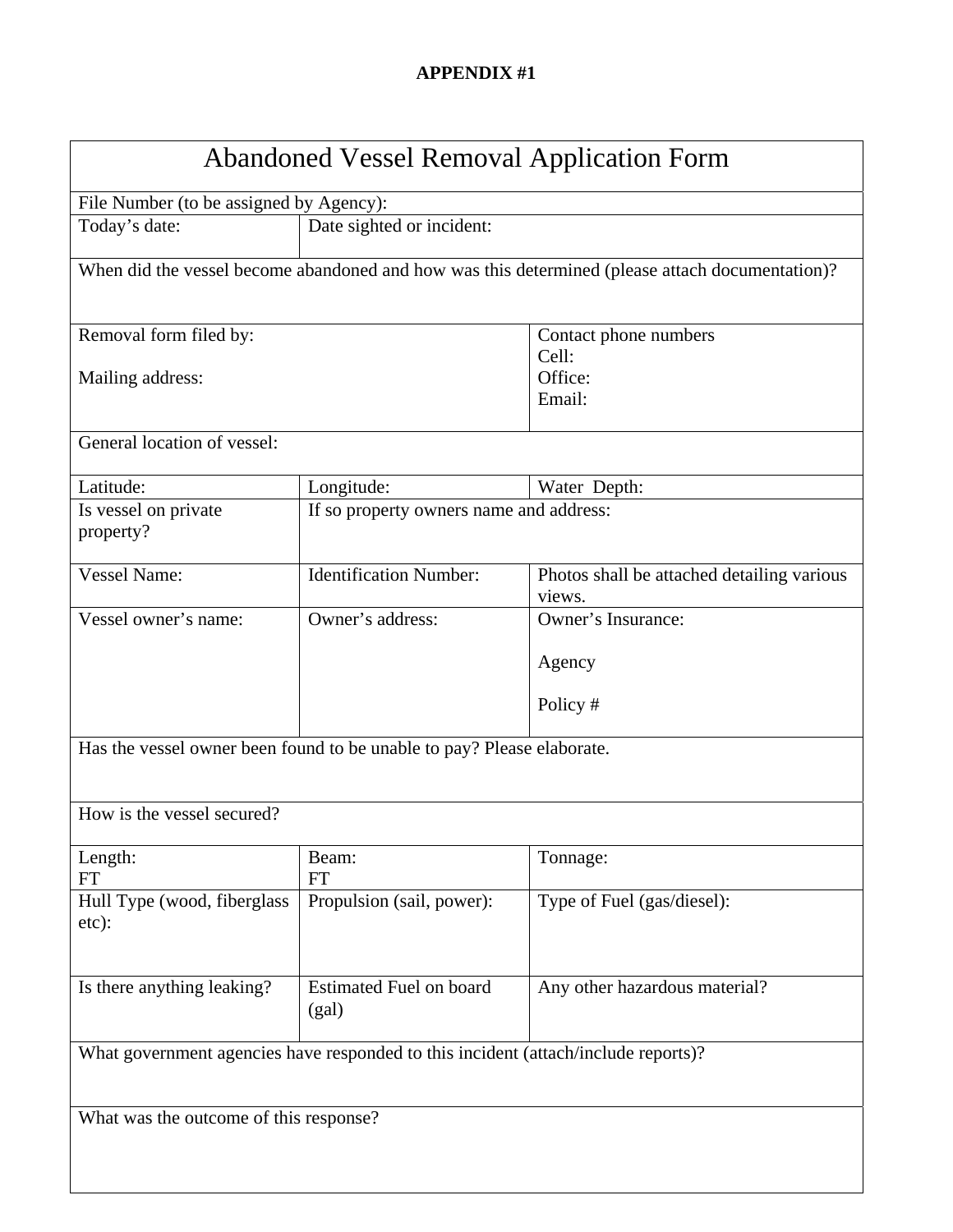## **APPENDIX #1**

| <b>Abandoned Vessel Removal Application Form</b>                                                |                                         |                                                      |  |
|-------------------------------------------------------------------------------------------------|-----------------------------------------|------------------------------------------------------|--|
| File Number (to be assigned by Agency):                                                         |                                         |                                                      |  |
| Today's date:                                                                                   | Date sighted or incident:               |                                                      |  |
| When did the vessel become abandoned and how was this determined (please attach documentation)? |                                         |                                                      |  |
|                                                                                                 |                                         |                                                      |  |
| Removal form filed by:                                                                          |                                         | Contact phone numbers                                |  |
|                                                                                                 |                                         | Cell:                                                |  |
| Mailing address:                                                                                |                                         | Office:                                              |  |
|                                                                                                 |                                         | Email:                                               |  |
| General location of vessel:                                                                     |                                         |                                                      |  |
| Latitude:                                                                                       | Longitude:                              | Water Depth:                                         |  |
| Is vessel on private                                                                            | If so property owners name and address: |                                                      |  |
| property?                                                                                       |                                         |                                                      |  |
| <b>Vessel Name:</b>                                                                             | <b>Identification Number:</b>           |                                                      |  |
|                                                                                                 |                                         | Photos shall be attached detailing various<br>views. |  |
| Vessel owner's name:                                                                            | Owner's address:                        | Owner's Insurance:                                   |  |
|                                                                                                 |                                         |                                                      |  |
|                                                                                                 |                                         | Agency                                               |  |
|                                                                                                 |                                         | Policy #                                             |  |
| Has the vessel owner been found to be unable to pay? Please elaborate.                          |                                         |                                                      |  |
|                                                                                                 |                                         |                                                      |  |
| How is the vessel secured?                                                                      |                                         |                                                      |  |
| Length:                                                                                         | Beam:                                   | Tonnage:                                             |  |
| <b>FT</b>                                                                                       | <b>FT</b>                               |                                                      |  |
| Hull Type (wood, fiberglass<br>etc):                                                            | Propulsion (sail, power):               | Type of Fuel (gas/diesel):                           |  |
|                                                                                                 |                                         |                                                      |  |
| Is there anything leaking?                                                                      | <b>Estimated Fuel on board</b><br>(gal) | Any other hazardous material?                        |  |
| What government agencies have responded to this incident (attach/include reports)?              |                                         |                                                      |  |
|                                                                                                 |                                         |                                                      |  |
| What was the outcome of this response?                                                          |                                         |                                                      |  |
|                                                                                                 |                                         |                                                      |  |